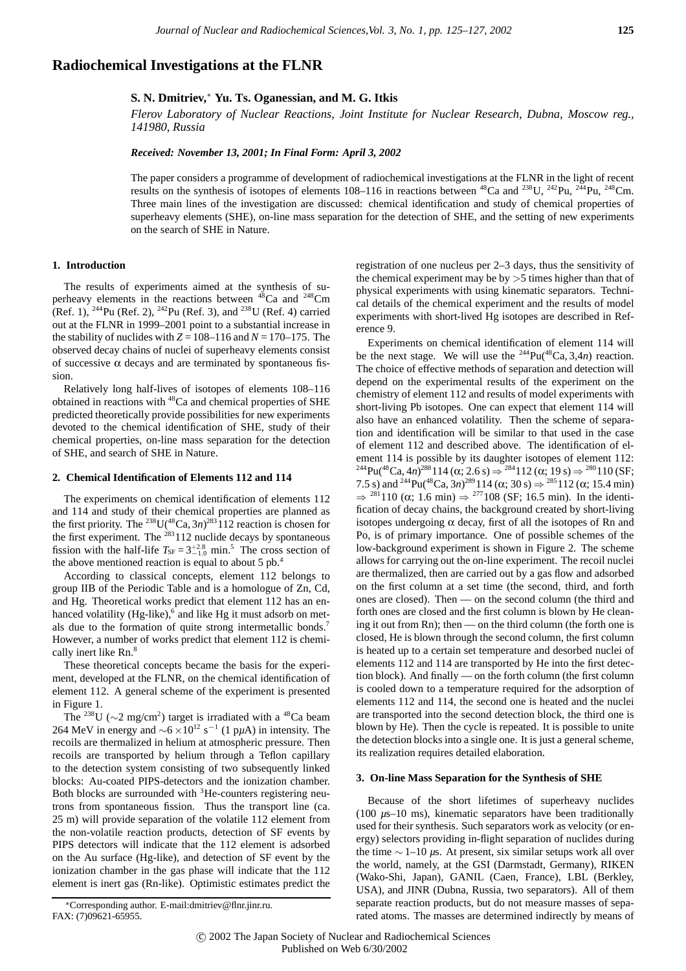# **Radiochemical Investigations at the FLNR**

## **S. N. Dmitriev,**<sup>∗</sup> **Yu. Ts. Oganessian, and M. G. Itkis**

*Flerov Laboratory of Nuclear Reactions, Joint Institute for Nuclear Research, Dubna, Moscow reg., 141980, Russia*

#### *Received: November 13, 2001; In Final Form: April 3, 2002*

The paper considers a programme of development of radiochemical investigations at the FLNR in the light of recent results on the synthesis of isotopes of elements 108–116 in reactions between  ${}^{48}Ca$  and  ${}^{238}U$ ,  ${}^{242}Pu$ ,  ${}^{248}Cm$ . Three main lines of the investigation are discussed: chemical identification and study of chemical properties of superheavy elements (SHE), on-line mass separation for the detection of SHE, and the setting of new experiments on the search of SHE in Nature.

## **1. Introduction**

The results of experiments aimed at the synthesis of superheavy elements in the reactions between  $48$ Ca and  $248$ Cm (Ref. 1), <sup>244</sup>Pu (Ref. 2), <sup>242</sup>Pu (Ref. 3), and <sup>238</sup>U (Ref. 4) carried out at the FLNR in 1999–2001 point to a substantial increase in the stability of nuclides with  $Z = 108-116$  and  $N = 170-175$ . The observed decay chains of nuclei of superheavy elements consist of successive α decays and are terminated by spontaneous fission.

Relatively long half-lives of isotopes of elements 108–116 obtained in reactions with 48Ca and chemical properties of SHE predicted theoretically provide possibilities for new experiments devoted to the chemical identification of SHE, study of their chemical properties, on-line mass separation for the detection of SHE, and search of SHE in Nature.

#### **2. Chemical Identification of Elements 112 and 114**

The experiments on chemical identification of elements 112 and 114 and study of their chemical properties are planned as the first priority. The <sup>238</sup>U( $\rm ^{48}Ca, 3n$ )<sup>283</sup> 112 reaction is chosen for the first experiment. The  $^{283}112$  nuclide decays by spontaneous fission with the half-life  $T_{\text{SF}} = 3^{+2.8}_{-1.0}$  min.<sup>5</sup> The cross section of the above mentioned reaction is equal to about 5 pb.4

According to classical concepts, element 112 belongs to group IIB of the Periodic Table and is a homologue of Zn, Cd, and Hg. Theoretical works predict that element 112 has an enhanced volatility  $(Hg\text{-like})$ , and like Hg it must adsorb on metals due to the formation of quite strong intermetallic bonds.<sup>7</sup> However, a number of works predict that element 112 is chemically inert like Rn.<sup>8</sup>

These theoretical concepts became the basis for the experiment, developed at the FLNR, on the chemical identification of element 112. A general scheme of the experiment is presented in Figure 1.

The <sup>238</sup>U ( $\sim$ 2 mg/cm<sup>2</sup>) target is irradiated with a <sup>48</sup>Ca beam 264 MeV in energy and <sup>∼</sup>6 <sup>×</sup>1012 s *<sup>−</sup>*<sup>1</sup> (1 p*µ*A) in intensity. The recoils are thermalized in helium at atmospheric pressure. Then recoils are transported by helium through a Teflon capillary to the detection system consisting of two subsequently linked blocks: Au-coated PIPS-detectors and the ionization chamber. Both blocks are surrounded with <sup>3</sup>He-counters registering neutrons from spontaneous fission. Thus the transport line (ca. 25 m) will provide separation of the volatile 112 element from the non-volatile reaction products, detection of SF events by PIPS detectors will indicate that the 112 element is adsorbed on the Au surface (Hg-like), and detection of SF event by the ionization chamber in the gas phase will indicate that the 112 element is inert gas (Rn-like). Optimistic estimates predict the registration of one nucleus per 2–3 days, thus the sensitivity of the chemical experiment may be by *>*5 times higher than that of physical experiments with using kinematic separators. Technical details of the chemical experiment and the results of model experiments with short-lived Hg isotopes are described in Reference 9.

Experiments on chemical identification of element 114 will be the next stage. We will use the  $^{244}Pu({}^{48}Ca, 3,4n)$  reaction. The choice of effective methods of separation and detection will depend on the experimental results of the experiment on the chemistry of element 112 and results of model experiments with short-living Pb isotopes. One can expect that element 114 will also have an enhanced volatility. Then the scheme of separation and identification will be similar to that used in the case of element 112 and described above. The identification of element 114 is possible by its daughter isotopes of element 112:  $^{244}Pu({}^{48}Ca, 4n)^{288}114 (\alpha; 2.6 \text{ s}) \Rightarrow {}^{284}112 (\alpha; 19 \text{ s}) \Rightarrow {}^{280}110 (\text{SF};$ 7.5 s) and <sup>244</sup>Pu(<sup>48</sup>Ca, 3*n*)<sup>289</sup>114 (α; 30 s) ⇒ <sup>285</sup>112 (α; 15.4 min)  $\Rightarrow$  <sup>281</sup>110 ( $\alpha$ ; 1.6 min)  $\Rightarrow$  <sup>277</sup>108 (SF; 16.5 min). In the identification of decay chains, the background created by short-living isotopes undergoing  $\alpha$  decay, first of all the isotopes of Rn and Po, is of primary importance. One of possible schemes of the low-background experiment is shown in Figure 2. The scheme allows for carrying out the on-line experiment. The recoil nuclei are thermalized, then are carried out by a gas flow and adsorbed on the first column at a set time (the second, third, and forth ones are closed). Then — on the second column (the third and forth ones are closed and the first column is blown by He cleaning it out from Rn); then — on the third column (the forth one is closed, He is blown through the second column, the first column is heated up to a certain set temperature and desorbed nuclei of elements 112 and 114 are transported by He into the first detection block). And finally — on the forth column (the first column is cooled down to a temperature required for the adsorption of elements 112 and 114, the second one is heated and the nuclei are transported into the second detection block, the third one is blown by He). Then the cycle is repeated. It is possible to unite the detection blocks into a single one. It is just a general scheme, its realization requires detailed elaboration.

#### **3. On-line Mass Separation for the Synthesis of SHE**

Because of the short lifetimes of superheavy nuclides (100 *µ*s–10 ms), kinematic separators have been traditionally used for their synthesis. Such separators work as velocity (or energy) selectors providing in-flight separation of nuclides during the time ∼ 1–10 *µ*s. At present, six similar setups work all over the world, namely, at the GSI (Darmstadt, Germany), RIKEN (Wako-Shi, Japan), GANIL (Caen, France), LBL (Berkley, USA), and JINR (Dubna, Russia, two separators). All of them separate reaction products, but do not measure masses of separated atoms. The masses are determined indirectly by means of

<sup>∗</sup>Corresponding author. E-mail:dmitriev@flnr.jinr.ru. FAX: (7)09621-65955.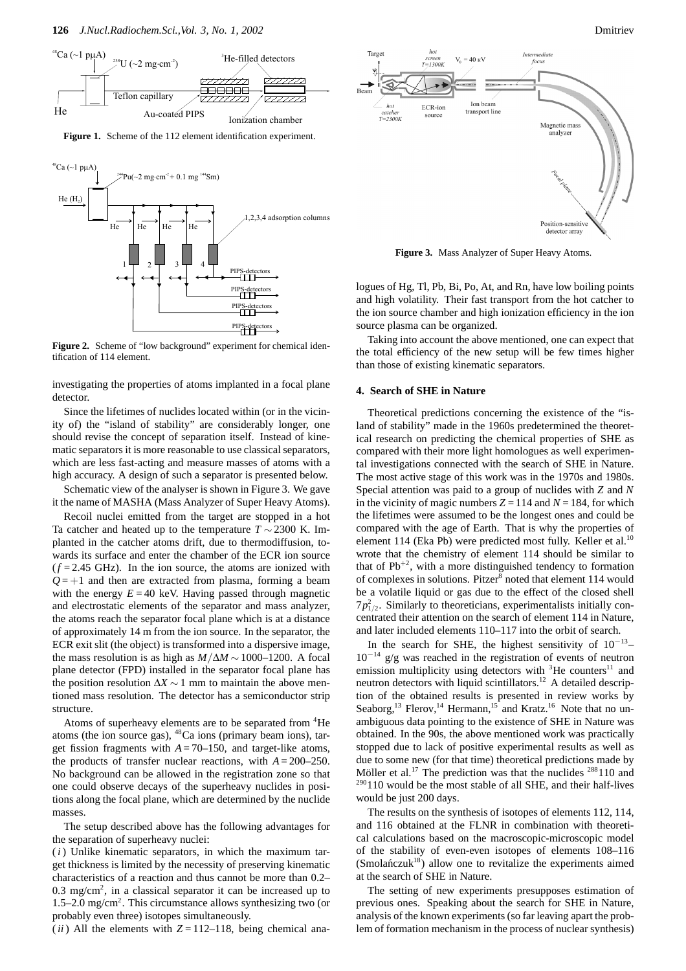

**Figure 1.** Scheme of the 112 element identification experiment.



Figure 2. Scheme of "low background" experiment for chemical identification of 114 element.

investigating the properties of atoms implanted in a focal plane detector.

Since the lifetimes of nuclides located within (or in the vicinity of) the "island of stability" are considerably longer, one should revise the concept of separation itself. Instead of kinematic separators it is more reasonable to use classical separators, which are less fast-acting and measure masses of atoms with a high accuracy. A design of such a separator is presented below.

Schematic view of the analyser is shown in Figure 3. We gave it the name of MASHA (Mass Analyzer of Super Heavy Atoms).

Recoil nuclei emitted from the target are stopped in a hot Ta catcher and heated up to the temperature  $T \sim 2300$  K. Implanted in the catcher atoms drift, due to thermodiffusion, towards its surface and enter the chamber of the ECR ion source  $(f = 2.45 \text{ GHz})$ . In the ion source, the atoms are ionized with  $Q = +1$  and then are extracted from plasma, forming a beam with the energy  $E = 40$  keV. Having passed through magnetic and electrostatic elements of the separator and mass analyzer, the atoms reach the separator focal plane which is at a distance of approximately 14 m from the ion source. In the separator, the ECR exit slit (the object) is transformed into a dispersive image, the mass resolution is as high as  $M/\Delta M \sim 1000-1200$ . A focal plane detector (FPD) installed in the separator focal plane has the position resolution  $\Delta X \sim 1$  mm to maintain the above mentioned mass resolution. The detector has a semiconductor strip structure.

Atoms of superheavy elements are to be separated from <sup>4</sup>He atoms (the ion source gas), 48Ca ions (primary beam ions), target fission fragments with  $A = 70-150$ , and target-like atoms, the products of transfer nuclear reactions, with  $A = 200-250$ . No background can be allowed in the registration zone so that one could observe decays of the superheavy nuclides in positions along the focal plane, which are determined by the nuclide masses.

The setup described above has the following advantages for the separation of superheavy nuclei:

(*i*) Unlike kinematic separators, in which the maximum target thickness is limited by the necessity of preserving kinematic characteristics of a reaction and thus cannot be more than 0.2–  $0.3 \text{ mg/cm}^2$ , in a classical separator it can be increased up to 1.5–2.0 mg/cm<sup>2</sup>. This circumstance allows synthesizing two (or probably even three) isotopes simultaneously.

(*ii*) All the elements with  $Z = 112-118$ , being chemical ana-



**Figure 3.** Mass Analyzer of Super Heavy Atoms.

logues of Hg, Tl, Pb, Bi, Po, At, and Rn, have low boiling points and high volatility. Their fast transport from the hot catcher to the ion source chamber and high ionization efficiency in the ion source plasma can be organized.

Taking into account the above mentioned, one can expect that the total efficiency of the new setup will be few times higher than those of existing kinematic separators.

#### **4. Search of SHE in Nature**

Theoretical predictions concerning the existence of the "island of stability" made in the 1960s predetermined the theoretical research on predicting the chemical properties of SHE as compared with their more light homologues as well experimental investigations connected with the search of SHE in Nature. The most active stage of this work was in the 1970s and 1980s. Special attention was paid to a group of nuclides with *Z* and *N* in the vicinity of magic numbers  $Z = 114$  and  $N = 184$ , for which the lifetimes were assumed to be the longest ones and could be compared with the age of Earth. That is why the properties of element 114 (Eka Pb) were predicted most fully. Keller et al.<sup>10</sup> wrote that the chemistry of element 114 should be similar to that of  $Pb^{+2}$ , with a more distinguished tendency to formation of complexes in solutions. Pitzer<sup>8</sup> noted that element 114 would be a volatile liquid or gas due to the effect of the closed shell  $7p_{1/2}^2$ . Similarly to theoreticians, experimentalists initially concentrated their attention on the search of element 114 in Nature, and later included elements 110–117 into the orbit of search.

In the search for SHE, the highest sensitivity of 10*−*13– 10*−*<sup>14</sup> g/g was reached in the registration of events of neutron emission multiplicity using detectors with  ${}^{3}$ He counters<sup>11</sup> and neutron detectors with liquid scintillators.<sup>12</sup> A detailed description of the obtained results is presented in review works by Seaborg,<sup>13</sup> Flerov,<sup>14</sup> Hermann,<sup>15</sup> and Kratz.<sup>16</sup> Note that no unambiguous data pointing to the existence of SHE in Nature was obtained. In the 90s, the above mentioned work was practically stopped due to lack of positive experimental results as well as due to some new (for that time) theoretical predictions made by Möller et al.<sup>17</sup> The prediction was that the nuclides  $288110$  and  $290110$  would be the most stable of all SHE, and their half-lives would be just 200 days.

The results on the synthesis of isotopes of elements 112, 114, and 116 obtained at the FLNR in combination with theoretical calculations based on the macroscopic-microscopic model of the stability of even-even isotopes of elements 108–116 (Smolańczuk $18$ ) allow one to revitalize the experiments aimed at the search of SHE in Nature.

The setting of new experiments presupposes estimation of previous ones. Speaking about the search for SHE in Nature, analysis of the known experiments (so far leaving apart the problem of formation mechanism in the process of nuclear synthesis)